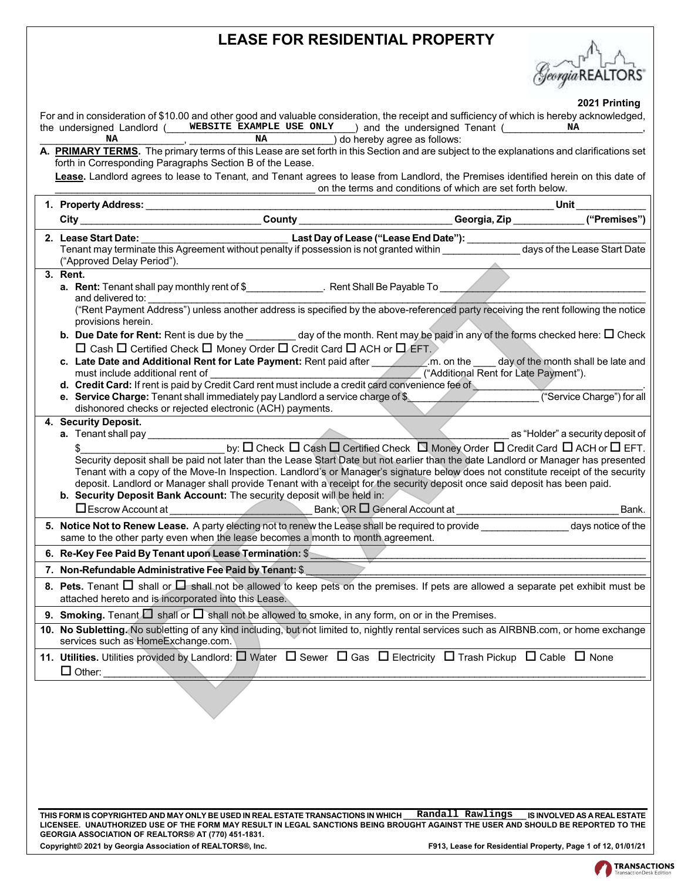# **LEASE FOR RESIDENTIAL PROPERTY**

Georgia REALTORS

 **2021 Printing**

| For and in consideration of \$10.00 and other good and valuable consideration, the receipt and sufficiency of which is hereby acknowledged,<br>the undersigned Landlord ( WEBSITE EXAMPLE USE ONLY ) and the undersigned Tenant (                                                                                                                                                                                                                                                                                                                                                                                                      | ZUZ I FIIIIUIIU<br>NA        |
|----------------------------------------------------------------------------------------------------------------------------------------------------------------------------------------------------------------------------------------------------------------------------------------------------------------------------------------------------------------------------------------------------------------------------------------------------------------------------------------------------------------------------------------------------------------------------------------------------------------------------------------|------------------------------|
| ΝA<br>NA<br>) do hereby agree as follows:<br>A. PRIMARY TERMS. The primary terms of this Lease are set forth in this Section and are subject to the explanations and clarifications set<br>forth in Corresponding Paragraphs Section B of the Lease.                                                                                                                                                                                                                                                                                                                                                                                   |                              |
| Lease. Landlord agrees to lease to Tenant, and Tenant agrees to lease from Landlord, the Premises identified herein on this date of<br>on the terms and conditions of which are set forth below.                                                                                                                                                                                                                                                                                                                                                                                                                                       |                              |
| Unit                                                                                                                                                                                                                                                                                                                                                                                                                                                                                                                                                                                                                                   |                              |
| City ________________________________County _________________________Georgia, Zip _____________                                                                                                                                                                                                                                                                                                                                                                                                                                                                                                                                        | ("Premises")                 |
| 2. Lease Start Date:<br>("Approved Delay Period").                                                                                                                                                                                                                                                                                                                                                                                                                                                                                                                                                                                     |                              |
| 3. Rent.<br>a. Rent: Tenant shall pay monthly rent of \$________________. Rent Shall Be Payable To _____________<br>and delivered to:                                                                                                                                                                                                                                                                                                                                                                                                                                                                                                  |                              |
| ("Rent Payment Address") unless another address is specified by the above-referenced party receiving the rent following the notice<br>provisions herein.                                                                                                                                                                                                                                                                                                                                                                                                                                                                               |                              |
| <b>b.</b> Due Date for Rent: Rent is due by the __________ day of the month. Rent may be paid in any of the forms checked here: $\Box$ Check<br>□ Cash □ Certified Check □ Money Order □ Credit Card □ ACH or □ EFT.                                                                                                                                                                                                                                                                                                                                                                                                                   |                              |
| c. Late Date and Additional Rent for Late Payment: Rent paid after _________________________________ day of the month shall be late and<br>("Additional Rent for Late Payment").                                                                                                                                                                                                                                                                                                                                                                                                                                                       |                              |
| e. Service Charge: Tenant shall immediately pay Landlord a service charge of \$<br>dishonored checks or rejected electronic (ACH) payments.                                                                                                                                                                                                                                                                                                                                                                                                                                                                                            | ("Service Charge") for all   |
| 4. Security Deposit.<br>as "Holder" a security deposit of                                                                                                                                                                                                                                                                                                                                                                                                                                                                                                                                                                              |                              |
| by: O Check O Cash O Certified Check O Money Order O Credit Card O ACH or O EFT.<br>Security deposit shall be paid not later than the Lease Start Date but not earlier than the date Landlord or Manager has presented<br>Tenant with a copy of the Move-In Inspection. Landlord's or Manager's signature below does not constitute receipt of the security<br>deposit. Landlord or Manager shall provide Tenant with a receipt for the security deposit once said deposit has been paid.<br>b. Security Deposit Bank Account: The security deposit will be held in:<br>Bank; OR $\Box$ General Account at<br>$\Box$ Escrow Account at | Bank.                        |
| 5. Notice Not to Renew Lease. A party electing not to renew the Lease shall be required to provide _______________ days notice of the<br>same to the other party even when the lease becomes a month to month agreement.                                                                                                                                                                                                                                                                                                                                                                                                               |                              |
| 6. Re-Key Fee Paid By Tenant upon Lease Termination: \$<br>$\overline{\phantom{a}}$ . The contract of the contract of $\overline{\phantom{a}}$                                                                                                                                                                                                                                                                                                                                                                                                                                                                                         |                              |
| 7. Non-Refundable Administrative Fee Paid by Tenant: \$                                                                                                                                                                                                                                                                                                                                                                                                                                                                                                                                                                                |                              |
| 8. Pets. Tenant $\Box$ shall or $\Box$ shall not be allowed to keep pets on the premises. If pets are allowed a separate pet exhibit must be<br>attached hereto and is incorporated into this Lease.                                                                                                                                                                                                                                                                                                                                                                                                                                   |                              |
| 9. Smoking. Tenant $\Box$ shall or $\Box$ shall not be allowed to smoke, in any form, on or in the Premises.                                                                                                                                                                                                                                                                                                                                                                                                                                                                                                                           |                              |
| 10. No Subletting. No subletting of any kind including, but not limited to, nightly rental services such as AIRBNB.com, or home exchange<br>services such as HomeExchange.com.                                                                                                                                                                                                                                                                                                                                                                                                                                                         |                              |
| 11. Utilities. Utilities provided by Landlord: $\Box$ Water $\Box$ Sewer $\Box$ Gas $\Box$ Electricity $\Box$ Trash Pickup $\Box$ Cable $\Box$ None<br>$\Box$ Other:                                                                                                                                                                                                                                                                                                                                                                                                                                                                   |                              |
|                                                                                                                                                                                                                                                                                                                                                                                                                                                                                                                                                                                                                                        |                              |
| Randall Rawlings<br>THIS FORM IS COPYRIGHTED AND MAY ONLY BE USED IN REAL ESTATE TRANSACTIONS IN WHICH<br>LICENSEE. UNAUTHORIZED USE OF THE FORM MAY RESULT IN LEGAL SANCTIONS BEING BROUGHT AGAINST THE USER AND SHOULD BE REPORTED TO THE<br><b>GEORGIA ASSOCIATION OF REALTORS® AT (770) 451-1831.</b>                                                                                                                                                                                                                                                                                                                              | IS INVOLVED AS A REAL ESTATE |

**Copyright© 2021 by Georgia Association of REALTORS®, Inc. F913, Lease for Residential Property, Page 1 of 12, 01/01/21**

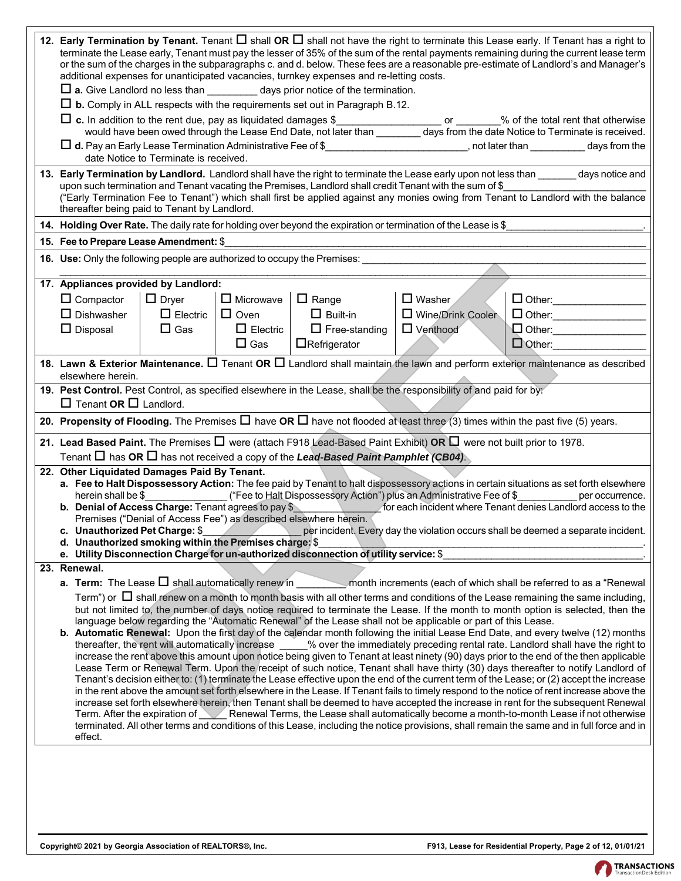|                                                                                                                           |                                       |                  | additional expenses for unanticipated vacancies, turnkey expenses and re-letting costs.      |                                                                                                                                     | 12. Early Termination by Tenant. Tenant $\Box$ shall OR $\Box$ shall not have the right to terminate this Lease early. If Tenant has a right to<br>terminate the Lease early, Tenant must pay the lesser of 35% of the sum of the rental payments remaining during the current lease term<br>or the sum of the charges in the subparagraphs c. and d. below. These fees are a reasonable pre-estimate of Landlord's and Manager's                                                                                                                                                                                                                                                                                                                                                                                                                                                                                                                                                                                                                                                                                          |
|---------------------------------------------------------------------------------------------------------------------------|---------------------------------------|------------------|----------------------------------------------------------------------------------------------|-------------------------------------------------------------------------------------------------------------------------------------|----------------------------------------------------------------------------------------------------------------------------------------------------------------------------------------------------------------------------------------------------------------------------------------------------------------------------------------------------------------------------------------------------------------------------------------------------------------------------------------------------------------------------------------------------------------------------------------------------------------------------------------------------------------------------------------------------------------------------------------------------------------------------------------------------------------------------------------------------------------------------------------------------------------------------------------------------------------------------------------------------------------------------------------------------------------------------------------------------------------------------|
|                                                                                                                           |                                       |                  | $\Box$ a. Give Landlord no less than $\Box$ days prior notice of the termination.            |                                                                                                                                     |                                                                                                                                                                                                                                                                                                                                                                                                                                                                                                                                                                                                                                                                                                                                                                                                                                                                                                                                                                                                                                                                                                                            |
|                                                                                                                           |                                       |                  | $\Box$ b. Comply in ALL respects with the requirements set out in Paragraph B.12.            |                                                                                                                                     |                                                                                                                                                                                                                                                                                                                                                                                                                                                                                                                                                                                                                                                                                                                                                                                                                                                                                                                                                                                                                                                                                                                            |
| $\Box$ c. In addition to the rent due, pay as liquidated damages \$                                                       |                                       |                  |                                                                                              |                                                                                                                                     | In addition to the rent due, pay as liquidated damages \$<br>would have been owed through the Lease End Date, not later than __________ days from the date Notice to Terminate is received.                                                                                                                                                                                                                                                                                                                                                                                                                                                                                                                                                                                                                                                                                                                                                                                                                                                                                                                                |
|                                                                                                                           | date Notice to Terminate is received. |                  |                                                                                              |                                                                                                                                     | □ d. Pay an Early Lease Termination Administrative Fee of \$_____________________________, not later than ______________days from the                                                                                                                                                                                                                                                                                                                                                                                                                                                                                                                                                                                                                                                                                                                                                                                                                                                                                                                                                                                      |
|                                                                                                                           |                                       |                  |                                                                                              | upon such termination and Tenant vacating the Premises, Landlord shall credit Tenant with the sum of \$                             | 13. Early Termination by Landlord. Landlord shall have the right to terminate the Lease early upon not less than sumpley and tice and<br>("Early Termination Fee to Tenant") which shall first be applied against any monies owing from Tenant to Landlord with the balance                                                                                                                                                                                                                                                                                                                                                                                                                                                                                                                                                                                                                                                                                                                                                                                                                                                |
| thereafter being paid to Tenant by Landlord.                                                                              |                                       |                  |                                                                                              |                                                                                                                                     |                                                                                                                                                                                                                                                                                                                                                                                                                                                                                                                                                                                                                                                                                                                                                                                                                                                                                                                                                                                                                                                                                                                            |
|                                                                                                                           |                                       |                  |                                                                                              | 14. Holding Over Rate. The daily rate for holding over beyond the expiration or termination of the Lease is \$_                     |                                                                                                                                                                                                                                                                                                                                                                                                                                                                                                                                                                                                                                                                                                                                                                                                                                                                                                                                                                                                                                                                                                                            |
| 15. Fee to Prepare Lease Amendment: \$                                                                                    |                                       |                  |                                                                                              |                                                                                                                                     |                                                                                                                                                                                                                                                                                                                                                                                                                                                                                                                                                                                                                                                                                                                                                                                                                                                                                                                                                                                                                                                                                                                            |
|                                                                                                                           |                                       |                  | 16. Use: Only the following people are authorized to occupy the Premises:                    |                                                                                                                                     |                                                                                                                                                                                                                                                                                                                                                                                                                                                                                                                                                                                                                                                                                                                                                                                                                                                                                                                                                                                                                                                                                                                            |
|                                                                                                                           |                                       |                  |                                                                                              |                                                                                                                                     |                                                                                                                                                                                                                                                                                                                                                                                                                                                                                                                                                                                                                                                                                                                                                                                                                                                                                                                                                                                                                                                                                                                            |
| 17. Appliances provided by Landlord:                                                                                      |                                       |                  |                                                                                              |                                                                                                                                     |                                                                                                                                                                                                                                                                                                                                                                                                                                                                                                                                                                                                                                                                                                                                                                                                                                                                                                                                                                                                                                                                                                                            |
| $\Box$ Compactor                                                                                                          | $\Box$ Dryer                          | $\Box$ Microwave | $\Box$ Range                                                                                 | $\Box$ Washer                                                                                                                       | D Other: __________________                                                                                                                                                                                                                                                                                                                                                                                                                                                                                                                                                                                                                                                                                                                                                                                                                                                                                                                                                                                                                                                                                                |
| $\Box$ Dishwasher                                                                                                         | $\Box$ Electric                       | $\Box$ Oven      | $\Box$ Built-in                                                                              | □ Wine/Drink Cooler                                                                                                                 | $\Box$ Other:                                                                                                                                                                                                                                                                                                                                                                                                                                                                                                                                                                                                                                                                                                                                                                                                                                                                                                                                                                                                                                                                                                              |
| $\Box$ Disposal                                                                                                           | $\Box$ Gas                            | $\Box$ Electric  | $\Box$ Free-standing                                                                         | $\Box$ Venthood                                                                                                                     | Other: _________________                                                                                                                                                                                                                                                                                                                                                                                                                                                                                                                                                                                                                                                                                                                                                                                                                                                                                                                                                                                                                                                                                                   |
|                                                                                                                           |                                       | $\Box$ Gas       | $\Box$ Refrigerator                                                                          |                                                                                                                                     | $\Box$ Other:                                                                                                                                                                                                                                                                                                                                                                                                                                                                                                                                                                                                                                                                                                                                                                                                                                                                                                                                                                                                                                                                                                              |
| elsewhere herein.                                                                                                         |                                       |                  |                                                                                              |                                                                                                                                     | 18. Lawn & Exterior Maintenance. $\Box$ Tenant OR $\Box$ Landlord shall maintain the lawn and perform exterior maintenance as described                                                                                                                                                                                                                                                                                                                                                                                                                                                                                                                                                                                                                                                                                                                                                                                                                                                                                                                                                                                    |
|                                                                                                                           |                                       |                  |                                                                                              | 19. Pest Control. Pest Control, as specified elsewhere in the Lease, shall be the responsibility of and paid for by:                |                                                                                                                                                                                                                                                                                                                                                                                                                                                                                                                                                                                                                                                                                                                                                                                                                                                                                                                                                                                                                                                                                                                            |
| $\Box$ Tenant OR $\Box$ Landlord.                                                                                         |                                       |                  |                                                                                              |                                                                                                                                     |                                                                                                                                                                                                                                                                                                                                                                                                                                                                                                                                                                                                                                                                                                                                                                                                                                                                                                                                                                                                                                                                                                                            |
|                                                                                                                           |                                       |                  |                                                                                              |                                                                                                                                     | 20. Propensity of Flooding. The Premises $\Box$ have OR $\Box$ have not flooded at least three (3) times within the past five (5) years.                                                                                                                                                                                                                                                                                                                                                                                                                                                                                                                                                                                                                                                                                                                                                                                                                                                                                                                                                                                   |
|                                                                                                                           |                                       |                  | Tenant $\Box$ has OR $\Box$ has not received a copy of the Lead-Based Paint Pamphlet (CB04). | 21. Lead Based Paint. The Premises $\square$ were (attach F918 Lead-Based Paint Exhibit) OR $\square$ were not built prior to 1978. |                                                                                                                                                                                                                                                                                                                                                                                                                                                                                                                                                                                                                                                                                                                                                                                                                                                                                                                                                                                                                                                                                                                            |
| 22. Other Liquidated Damages Paid By Tenant.<br>herein shall be \$<br>b. Denial of Access Charge: Tenant agrees to pay \$ |                                       |                  |                                                                                              | ("Fee to Halt Dispossessory Action") plus an Administrative Fee of \$                                                               | a. Fee to Halt Dispossessory Action: The fee paid by Tenant to halt dispossessory actions in certain situations as set forth elsewhere<br>per occurrence.<br>for each incident where Tenant denies Landlord access to the                                                                                                                                                                                                                                                                                                                                                                                                                                                                                                                                                                                                                                                                                                                                                                                                                                                                                                  |
|                                                                                                                           |                                       |                  | Premises ("Denial of Access Fee") as described elsewhere herein.                             |                                                                                                                                     |                                                                                                                                                                                                                                                                                                                                                                                                                                                                                                                                                                                                                                                                                                                                                                                                                                                                                                                                                                                                                                                                                                                            |
|                                                                                                                           |                                       |                  |                                                                                              |                                                                                                                                     | c. Unauthorized Pet Charge: \$                                                                                                                                                                                                                                                                                                                                                                                                                                                                                                                                                                                                                                                                                                                                                                                                                                                                                                                                                                                                                                                                                             |
| d. Unauthorized smoking within the Premises charge: \$                                                                    |                                       |                  | e. Utility Disconnection Charge for un-authorized disconnection of utility service: \$       |                                                                                                                                     |                                                                                                                                                                                                                                                                                                                                                                                                                                                                                                                                                                                                                                                                                                                                                                                                                                                                                                                                                                                                                                                                                                                            |
| 23. Renewal.                                                                                                              |                                       |                  |                                                                                              |                                                                                                                                     |                                                                                                                                                                                                                                                                                                                                                                                                                                                                                                                                                                                                                                                                                                                                                                                                                                                                                                                                                                                                                                                                                                                            |
|                                                                                                                           |                                       |                  |                                                                                              |                                                                                                                                     | a. Term: The Lease $\square$ shall automatically renew in _________ month increments (each of which shall be referred to as a "Renewal                                                                                                                                                                                                                                                                                                                                                                                                                                                                                                                                                                                                                                                                                                                                                                                                                                                                                                                                                                                     |
|                                                                                                                           |                                       |                  |                                                                                              | language below regarding the "Automatic Renewal" of the Lease shall not be applicable or part of this Lease.                        | Term") or $\Box$ shall renew on a month to month basis with all other terms and conditions of the Lease remaining the same including,<br>but not limited to, the number of days notice required to terminate the Lease. If the month to month option is selected, then the<br>b. Automatic Renewal: Upon the first day of the calendar month following the initial Lease End Date, and every twelve (12) months<br>thereafter, the rent will automatically increase % over the immediately preceding rental rate. Landlord shall have the right to<br>increase the rent above this amount upon notice being given to Tenant at least ninety (90) days prior to the end of the then applicable<br>Lease Term or Renewal Term. Upon the receipt of such notice, Tenant shall have thirty (30) days thereafter to notify Landlord of<br>Tenant's decision either to: (1) terminate the Lease effective upon the end of the current term of the Lease; or (2) accept the increase<br>in the rent above the amount set forth elsewhere in the Lease. If Tenant fails to timely respond to the notice of rent increase above the |
| effect.                                                                                                                   | Term. After the expiration of         |                  |                                                                                              |                                                                                                                                     | increase set forth elsewhere herein, then Tenant shall be deemed to have accepted the increase in rent for the subsequent Renewal<br>Renewal Terms, the Lease shall automatically become a month-to-month Lease if not otherwise<br>terminated. All other terms and conditions of this Lease, including the notice provisions, shall remain the same and in full force and in                                                                                                                                                                                                                                                                                                                                                                                                                                                                                                                                                                                                                                                                                                                                              |

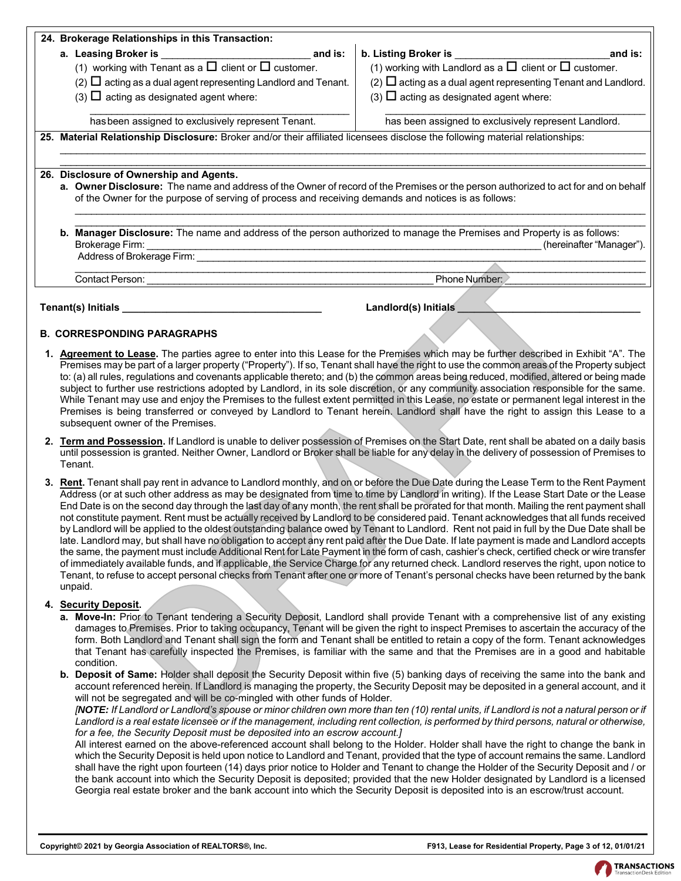|  | 24. Brokerage Relationships in this Transaction:                                                                                                                                                |                                                                                                                                                                                                                                                                                                                              |
|--|-------------------------------------------------------------------------------------------------------------------------------------------------------------------------------------------------|------------------------------------------------------------------------------------------------------------------------------------------------------------------------------------------------------------------------------------------------------------------------------------------------------------------------------|
|  | (1) working with Tenant as a $\square$ client or $\square$ customer.<br>$(2)$ $\Box$ acting as a dual agent representing Landlord and Tenant.<br>$(3)$ $\Box$ acting as designated agent where: | b. Listing Broker is the control of the control of the control of the control of the control of the control of<br>and is:<br>(1) working with Landlord as a $\square$ client or $\square$ customer.<br>(2) $\Box$ acting as a dual agent representing Tenant and Landlord.<br>$(3)$ $\Box$ acting as designated agent where: |
|  | has been assigned to exclusively represent Tenant.                                                                                                                                              | has been assigned to exclusively represent Landlord.                                                                                                                                                                                                                                                                         |
|  | 25. Material Relationship Disclosure: Broker and/or their affiliated licensees disclose the following material relationships:<br>26. Disclosure of Ownership and Agents.                        | a. Owner Disclosure: The name and address of the Owner of record of the Premises or the person authorized to act for and on behalf                                                                                                                                                                                           |
|  | of the Owner for the purpose of serving of process and receiving demands and notices is as follows:                                                                                             |                                                                                                                                                                                                                                                                                                                              |
|  | b. Manager Disclosure: The name and address of the person authorized to manage the Premises and Property is as follows:<br>Brokerage Firm:                                                      | (hereinafter "Manager").                                                                                                                                                                                                                                                                                                     |
|  | <b>Contact Person:</b>                                                                                                                                                                          | Phone Number:                                                                                                                                                                                                                                                                                                                |
|  | Tenant(s) Initials                                                                                                                                                                              | Landlord(s) Initials                                                                                                                                                                                                                                                                                                         |

#### **B. CORRESPONDING PARAGRAPHS**

- **1. Agreement to Lease.** The parties agree to enter into this Lease for the Premises which may be further described in Exhibit "A". The Premises may be part of a larger property ("Property"). If so, Tenant shall have the right to use the common areas of the Property subject to: (a) all rules, regulations and covenants applicable thereto; and (b) the common areas being reduced, modified, altered or being made subject to further use restrictions adopted by Landlord, in its sole discretion, or any community association responsible for the same. While Tenant may use and enjoy the Premises to the fullest extent permitted in this Lease, no estate or permanent legal interest in the Premises is being transferred or conveyed by Landlord to Tenant herein. Landlord shall have the right to assign this Lease to a subsequent owner of the Premises.
- **2. Term and Possession.** If Landlord is unable to deliver possession of Premises on the Start Date, rent shall be abated on a daily basis until possession is granted. Neither Owner, Landlord or Broker shall be liable for any delay in the delivery of possession of Premises to Tenant.
- **3. Rent.** Tenant shall pay rent in advance to Landlord monthly, and on or before the Due Date during the Lease Term to the Rent Payment Address (or at such other address as may be designated from time to time by Landlord in writing). If the Lease Start Date or the Lease End Date is on the second day through the last day of any month, the rent shall be prorated for that month. Mailing the rent payment shall not constitute payment. Rent must be actually received by Landlord to be considered paid. Tenant acknowledges that all funds received by Landlord will be applied to the oldest outstanding balance owed by Tenant to Landlord. Rent not paid in full by the Due Date shall be late. Landlord may, but shall have no obligation to accept any rent paid after the Due Date. If late payment is made and Landlord accepts the same, the payment must include Additional Rent for Late Payment in the form of cash, cashier's check, certified check or wire transfer of immediately available funds, and if applicable, the Service Charge for any returned check. Landlord reserves the right, upon notice to Tenant, to refuse to accept personal checks from Tenant after one or more of Tenant's personal checks have been returned by the bank unpaid. **Example 10**<br> **DRAFTARAGEARAPHS**<br> **Landlord(s)** Initials<br> **Landlord(s)** Initials<br> **Landlord(s)** Initials<br> **Landlord(s)** Initials<br> **Landlord(s)** Individuals<br> **Landlord(s)** Initials<br> **Landlord(s)** Individuals the form of the

#### **4. Security Deposit.**

- **a. Move-In:** Prior to Tenant tendering a Security Deposit, Landlord shall provide Tenant with a comprehensive list of any existing damages to Premises. Prior to taking occupancy, Tenant will be given the right to inspect Premises to ascertain the accuracy of the form. Both Landlord and Tenant shall sign the form and Tenant shall be entitled to retain a copy of the form. Tenant acknowledges that Tenant has carefully inspected the Premises, is familiar with the same and that the Premises are in a good and habitable condition.
- **b. Deposit of Same:** Holder shall deposit the Security Deposit within five (5) banking days of receiving the same into the bank and account referenced herein. If Landlord is managing the property, the Security Deposit may be deposited in a general account, and it will not be segregated and will be co-mingled with other funds of Holder.

*[NOTE: If Landlord or Landlord's spouse or minor children own more than ten (10) rental units, if Landlord is not a natural person or if* Landlord is a real estate licensee or if the management, including rent collection, is performed by third persons, natural or otherwise, *for a fee, the Security Deposit must be deposited into an escrow account.]*

All interest earned on the above-referenced account shall belong to the Holder. Holder shall have the right to change the bank in which the Security Deposit is held upon notice to Landlord and Tenant, provided that the type of account remains the same. Landlord shall have the right upon fourteen (14) days prior notice to Holder and Tenant to change the Holder of the Security Deposit and / or the bank account into which the Security Deposit is deposited; provided that the new Holder designated by Landlord is a licensed Georgia real estate broker and the bank account into which the Security Deposit is deposited into is an escrow/trust account.

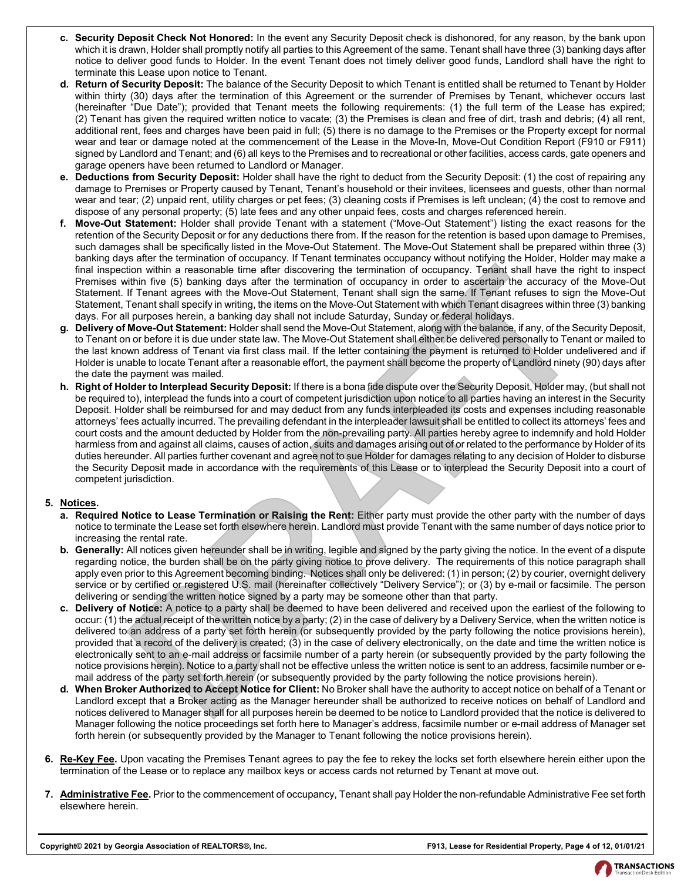- **c. Security Deposit Check Not Honored:** In the event any Security Deposit check is dishonored, for any reason, by the bank upon which it is drawn, Holder shall promptly notify all parties to this Agreement of the same. Tenant shall have three (3) banking days after notice to deliver good funds to Holder. In the event Tenant does not timely deliver good funds, Landlord shall have the right to terminate this Lease upon notice to Tenant.
- **d. Return of Security Deposit:** The balance of the Security Deposit to which Tenant is entitled shall be returned to Tenant by Holder within thirty (30) days after the termination of this Agreement or the surrender of Premises by Tenant, whichever occurs last (hereinafter "Due Date"); provided that Tenant meets the following requirements: (1) the full term of the Lease has expired; (2) Tenant has given the required written notice to vacate; (3) the Premises is clean and free of dirt, trash and debris; (4) all rent, additional rent, fees and charges have been paid in full; (5) there is no damage to the Premises or the Property except for normal wear and tear or damage noted at the commencement of the Lease in the Move-In, Move-Out Condition Report (F910 or F911) signed by Landlord and Tenant; and (6) all keys to the Premises and to recreational or other facilities, access cards, gate openers and garage openers have been returned to Landlord or Manager.
- **e. Deductions from Security Deposit:** Holder shall have the right to deduct from the Security Deposit: (1) the cost of repairing any damage to Premises or Property caused by Tenant, Tenant's household or their invitees, licensees and guests, other than normal wear and tear; (2) unpaid rent, utility charges or pet fees; (3) cleaning costs if Premises is left unclean; (4) the cost to remove and dispose of any personal property; (5) late fees and any other unpaid fees, costs and charges referenced herein.
- **f. Move-Out Statement:** Holder shall provide Tenant with a statement ("Move-Out Statement") listing the exact reasons for the retention of the Security Deposit or for any deductions there from. If the reason for the retention is based upon damage to Premises, such damages shall be specifically listed in the Move-Out Statement. The Move-Out Statement shall be prepared within three (3) banking days after the termination of occupancy. If Tenant terminates occupancy without notifying the Holder, Holder may make a final inspection within a reasonable time after discovering the termination of occupancy. Tenant shall have the right to inspect Premises within five (5) banking days after the termination of occupancy in order to ascertain the accuracy of the Move-Out Statement. If Tenant agrees with the Move-Out Statement, Tenant shall sign the same. If Tenant refuses to sign the Move-Out Statement, Tenant shall specify in writing, the items on the Move-Out Statement with which Tenant disagrees within three (3) banking days. For all purposes herein, a banking day shall not include Saturday, Sunday or federal holidays.
- **g. Delivery of Move-Out Statement:** Holder shall send the Move-Out Statement, along with the balance, if any, of the Security Deposit, to Tenant on or before it is due under state law. The Move-Out Statement shall either be delivered personally to Tenant or mailed to the last known address of Tenant via first class mail. If the letter containing the payment is returned to Holder undelivered and if Holder is unable to locate Tenant after a reasonable effort, the payment shall become the property of Landlord ninety (90) days after the date the payment was mailed.
- **h. Right of Holder to Interplead Security Deposit:** If there is a bona fide dispute over the Security Deposit, Holder may, (but shall not be required to), interplead the funds into a court of competent jurisdiction upon notice to all parties having an interest in the Security Deposit. Holder shall be reimbursed for and may deduct from any funds interpleaded its costs and expenses including reasonable attorneys' fees actually incurred. The prevailing defendant in the interpleader lawsuit shall be entitled to collect its attorneys' fees and court costs and the amount deducted by Holder from the non-prevailing party. All parties hereby agree to indemnify and hold Holder harmless from and against all claims, causes of action, suits and damages arising out of or related to the performance by Holder of its duties hereunder. All parties further covenant and agree not to sue Holder for damages relating to any decision of Holder to disburse the Security Deposit made in accordance with the requirements of this Lease or to interplead the Security Deposit into a court of competent jurisdiction. then in the massoable time affected model and the mail of coupley and the mail of the mail hand have the The mail hand the mail hand the mail hand the mail hand the TH and the mail hand the TH and the mail hand the mail to

## **5. Notices.**

- **a. Required Notice to Lease Termination or Raising the Rent:** Either party must provide the other party with the number of days notice to terminate the Lease set forth elsewhere herein. Landlord must provide Tenant with the same number of days notice prior to increasing the rental rate.
- **b. Generally:** All notices given hereunder shall be in writing, legible and signed by the party giving the notice. In the event of a dispute regarding notice, the burden shall be on the party giving notice to prove delivery. The requirements of this notice paragraph shall apply even prior to this Agreement becoming binding. Notices shall only be delivered: (1) in person; (2) by courier, overnight delivery service or by certified or registered U.S. mail (hereinafter collectively "Delivery Service"); or (3) by e-mail or facsimile. The person delivering or sending the written notice signed by a party may be someone other than that party.
- **c. Delivery of Notice:** A notice to a party shall be deemed to have been delivered and received upon the earliest of the following to occur: (1) the actual receipt of the written notice by a party; (2) in the case of delivery by a Delivery Service, when the written notice is delivered to an address of a party set forth herein (or subsequently provided by the party following the notice provisions herein), provided that a record of the delivery is created; (3) in the case of delivery electronically, on the date and time the written notice is electronically sent to an e-mail address or facsimile number of a party herein (or subsequently provided by the party following the notice provisions herein). Notice to a party shall not be effective unless the written notice is sent to an address, facsimile number or email address of the party set forth herein (or subsequently provided by the party following the notice provisions herein).
- **d. When Broker Authorized to Accept Notice for Client:** No Broker shall have the authority to accept notice on behalf of a Tenant or Landlord except that a Broker acting as the Manager hereunder shall be authorized to receive notices on behalf of Landlord and notices delivered to Manager shall for all purposes herein be deemed to be notice to Landlord provided that the notice is delivered to Manager following the notice proceedings set forth here to Manager's address, facsimile number or e-mail address of Manager set forth herein (or subsequently provided by the Manager to Tenant following the notice provisions herein).
- **6. Re-Key Fee.** Upon vacating the Premises Tenant agrees to pay the fee to rekey the locks set forth elsewhere herein either upon the termination of the Lease or to replace any mailbox keys or access cards not returned by Tenant at move out.
- **7. Administrative Fee.** Prior to the commencement of occupancy, Tenant shall pay Holder the non-refundable Administrative Fee set forth elsewhere herein.

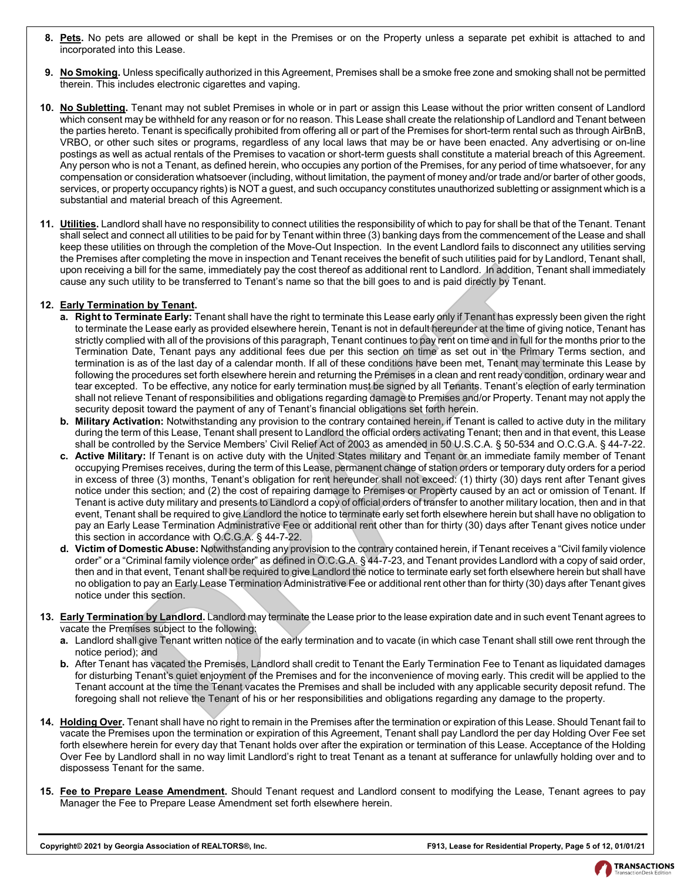- **8. Pets.** No pets are allowed or shall be kept in the Premises or on the Property unless a separate pet exhibit is attached to and incorporated into this Lease.
- **9. No Smoking.** Unless specifically authorized in this Agreement, Premises shall be a smoke free zone and smoking shall not be permitted therein. This includes electronic cigarettes and vaping.
- **10. No Subletting.** Tenant may not sublet Premises in whole or in part or assign this Lease without the prior written consent of Landlord which consent may be withheld for any reason or for no reason. This Lease shall create the relationship of Landlord and Tenant between the parties hereto. Tenant is specifically prohibited from offering all or part of the Premises for short-term rental such as through AirBnB, VRBO, or other such sites or programs, regardless of any local laws that may be or have been enacted. Any advertising or on-line postings as well as actual rentals of the Premises to vacation or short-term guests shall constitute a material breach of this Agreement. Any person who is not a Tenant, as defined herein, who occupies any portion of the Premises, for any period of time whatsoever, for any compensation or consideration whatsoever (including, without limitation, the payment of money and/or trade and/or barter of other goods, services, or property occupancy rights) is NOT a guest, and such occupancy constitutes unauthorized subletting or assignment which is a substantial and material breach of this Agreement.
- **11. Utilities.** Landlord shall have no responsibility to connect utilities the responsibility of which to pay for shall be that of the Tenant. Tenant shall select and connect all utilities to be paid for by Tenant within three (3) banking days from the commencement of the Lease and shall keep these utilities on through the completion of the Move-Out Inspection. In the event Landlord fails to disconnect any utilities serving the Premises after completing the move in inspection and Tenant receives the benefit of such utilities paid for by Landlord, Tenant shall, upon receiving a bill for the same, immediately pay the cost thereof as additional rent to Landlord. In addition, Tenant shall immediately cause any such utility to be transferred to Tenant's name so that the bill goes to and is paid directly by Tenant.

#### **12. Early Termination by Tenant.**

- **a. Right to Terminate Early:** Tenant shall have the right to terminate this Lease early only if Tenant has expressly been given the right to terminate the Lease early as provided elsewhere herein, Tenant is not in default hereunder at the time of giving notice, Tenant has strictly complied with all of the provisions of this paragraph, Tenant continues to pay rent on time and in full for the months prior to the Termination Date, Tenant pays any additional fees due per this section on time as set out in the Primary Terms section, and termination is as of the last day of a calendar month. If all of these conditions have been met, Tenant may terminate this Lease by following the procedures set forth elsewhere herein and returning the Premises in a clean and rent ready condition, ordinary wear and tear excepted. To be effective, any notice for early termination must be signed by all Tenants. Tenant's election of early termination shall not relieve Tenant of responsibilities and obligations regarding damage to Premises and/or Property. Tenant may not apply the security deposit toward the payment of any of Tenant's financial obligations set forth herein. it.b.thengy on the same interned to Franchi and the behind of the same interned to the same, immediately pay the cost thencef is a didditional rent to Landdord. In addition, Tennation by the behind the title best can be th
- **b. Military Activation:** Notwithstanding any provision to the contrary contained herein, if Tenant is called to active duty in the military during the term of this Lease, Tenant shall present to Landlord the official orders activating Tenant; then and in that event, this Lease shall be controlled by the Service Members' Civil Relief Act of 2003 as amended in 50 U.S.C.A. § 50-534 and O.C.G.A. § 44-7-22.
- **c. Active Military:** If Tenant is on active duty with the United States military and Tenant or an immediate family member of Tenant occupying Premises receives, during the term of this Lease, permanent change of station orders or temporary duty orders for a period in excess of three (3) months, Tenant's obligation for rent hereunder shall not exceed: (1) thirty (30) days rent after Tenant gives notice under this section; and (2) the cost of repairing damage to Premises or Property caused by an act or omission of Tenant. If Tenant is active duty military and presents to Landlord a copy of official orders of transfer to another military location, then and in that event, Tenant shall be required to give Landlord the notice to terminate early set forth elsewhere herein but shall have no obligation to pay an Early Lease Termination Administrative Fee or additional rent other than for thirty (30) days after Tenant gives notice under this section in accordance with O.C.G.A. § 44-7-22.
- **d. Victim of Domestic Abuse:** Notwithstanding any provision to the contrary contained herein, if Tenant receives a "Civil family violence order" or a "Criminal family violence order" as defined in O.C.G.A. § 44-7-23, and Tenant provides Landlord with a copy of said order, then and in that event, Tenant shall be required to give Landlord the notice to terminate early set forth elsewhere herein but shall have no obligation to pay an Early Lease Termination Administrative Fee or additional rent other than for thirty (30) days after Tenant gives notice under this section.
- **13. Early Termination by Landlord.** Landlord may terminate the Lease prior to the lease expiration date and in such event Tenant agrees to vacate the Premises subject to the following:
	- **a.** Landlord shall give Tenant written notice of the early termination and to vacate (in which case Tenant shall still owe rent through the notice period); and
	- **b.** After Tenant has vacated the Premises, Landlord shall credit to Tenant the Early Termination Fee to Tenant as liquidated damages for disturbing Tenant's quiet enjoyment of the Premises and for the inconvenience of moving early. This credit will be applied to the Tenant account at the time the Tenant vacates the Premises and shall be included with any applicable security deposit refund. The foregoing shall not relieve the Tenant of his or her responsibilities and obligations regarding any damage to the property.
- **14. Holding Over.** Tenant shall have no right to remain in the Premises after the termination or expiration of this Lease. Should Tenant fail to vacate the Premises upon the termination or expiration of this Agreement, Tenant shall pay Landlord the per day Holding Over Fee set forth elsewhere herein for every day that Tenant holds over after the expiration or termination of this Lease. Acceptance of the Holding Over Fee by Landlord shall in no way limit Landlord's right to treat Tenant as a tenant at sufferance for unlawfully holding over and to dispossess Tenant for the same.
- **15. Fee to Prepare Lease Amendment.** Should Tenant request and Landlord consent to modifying the Lease, Tenant agrees to pay Manager the Fee to Prepare Lease Amendment set forth elsewhere herein.

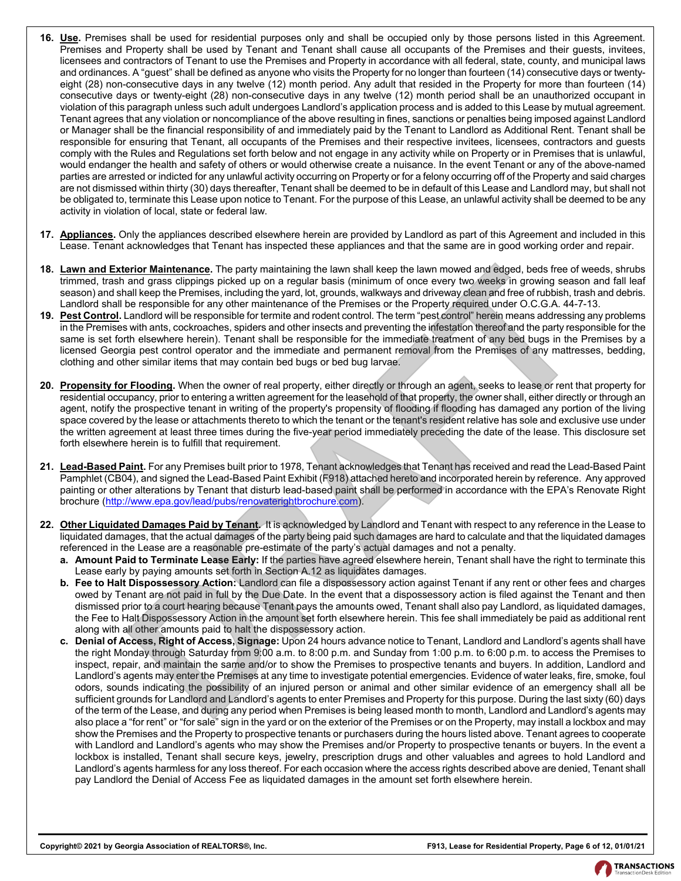- **16. Use.** Premises shall be used for residential purposes only and shall be occupied only by those persons listed in this Agreement. Premises and Property shall be used by Tenant and Tenant shall cause all occupants of the Premises and their guests, invitees, licensees and contractors of Tenant to use the Premises and Property in accordance with all federal, state, county, and municipal laws and ordinances. A "guest" shall be defined as anyone who visits the Property for no longer than fourteen (14) consecutive days or twentyeight (28) non-consecutive days in any twelve (12) month period. Any adult that resided in the Property for more than fourteen (14) consecutive days or twenty-eight (28) non-consecutive days in any twelve (12) month period shall be an unauthorized occupant in violation of this paragraph unless such adult undergoes Landlord's application process and is added to this Lease by mutual agreement. Tenant agrees that any violation or noncompliance of the above resulting in fines, sanctions or penalties being imposed against Landlord or Manager shall be the financial responsibility of and immediately paid by the Tenant to Landlord as Additional Rent. Tenant shall be responsible for ensuring that Tenant, all occupants of the Premises and their respective invitees, licensees, contractors and guests comply with the Rules and Regulations set forth below and not engage in any activity while on Property or in Premises that is unlawful, would endanger the health and safety of others or would otherwise create a nuisance. In the event Tenant or any of the above-named parties are arrested or indicted for any unlawful activity occurring on Property or for a felony occurring off of the Property and said charges are not dismissed within thirty (30) days thereafter, Tenant shall be deemed to be in default of this Lease and Landlord may, but shall not be obligated to, terminate this Lease upon notice to Tenant. For the purpose of this Lease, an unlawful activity shall be deemed to be any activity in violation of local, state or federal law.
- **17. Appliances.** Only the appliances described elsewhere herein are provided by Landlord as part of this Agreement and included in this Lease. Tenant acknowledges that Tenant has inspected these appliances and that the same are in good working order and repair.
- **18. Lawn and Exterior Maintenance.** The party maintaining the lawn shall keep the lawn mowed and edged, beds free of weeds, shrubs trimmed, trash and grass clippings picked up on a regular basis (minimum of once every two weeks in growing season and fall leaf season) and shall keep the Premises, including the yard, lot, grounds, walkways and driveway clean and free of rubbish, trash and debris. Landlord shall be responsible for any other maintenance of the Premises or the Property required under O.C.G.A. 44-7-13.
- **19. Pest Control.** Landlord will be responsible for termite and rodent control. The term "pest control" herein means addressing any problems in the Premises with ants, cockroaches, spiders and other insects and preventing the infestation thereof and the party responsible for the same is set forth elsewhere herein). Tenant shall be responsible for the immediate treatment of any bed bugs in the Premises by a licensed Georgia pest control operator and the immediate and permanent removal from the Premises of any mattresses, bedding, clothing and other similar items that may contain bed bugs or bed bug larvae.
- **20. Propensity for Flooding.** When the owner of real property, either directly or through an agent, seeks to lease or rent that property for residential occupancy, prior to entering a written agreement for the leasehold of that property, the owner shall, either directly or through an agent, notify the prospective tenant in writing of the property's propensity of flooding if flooding has damaged any portion of the living space covered by the lease or attachments thereto to which the tenant or the tenant's resident relative has sole and exclusive use under the written agreement at least three times during the five-year period immediately preceding the date of the lease. This disclosure set forth elsewhere herein is to fulfill that requirement.
- **21. Lead-Based Paint.** For any Premises built prior to 1978, Tenant acknowledges that Tenant has received and read the Lead-Based Paint Pamphlet (CB04), and signed the Lead-Based Paint Exhibit (F918) attached hereto and incorporated herein by reference. Any approved painting or other alterations by Tenant that disturb lead-based paint shall be performed in accordance with the EPA's Renovate Right brochure (http://www.epa.gov/lead/pubs/renovaterightbrochure.com).
- **22. Other Liquidated Damages Paid by Tenant.** It is acknowledged by Landlord and Tenant with respect to any reference in the Lease to liquidated damages, that the actual damages of the party being paid such damages are hard to calculate and that the liquidated damages referenced in the Lease are a reasonable pre-estimate of the party's actual damages and not a penalty.
	- **a. Amount Paid to Terminate Lease Early:** If the parties have agreed elsewhere herein, Tenant shall have the right to terminate this Lease early by paying amounts set forth in Section A.12 as liquidates damages.
	- **b. Fee to Halt Dispossessory Action:** Landlord can file a dispossessory action against Tenant if any rent or other fees and charges owed by Tenant are not paid in full by the Due Date. In the event that a dispossessory action is filed against the Tenant and then dismissed prior to a court hearing because Tenant pays the amounts owed, Tenant shall also pay Landlord, as liquidated damages, the Fee to Halt Dispossessory Action in the amount set forth elsewhere herein. This fee shall immediately be paid as additional rent along with all other amounts paid to halt the dispossessory action.
- **c. Denial of Access, Right of Access, Signage:** Upon 24 hours advance notice to Tenant, Landlord and Landlord's agents shall have the right Monday through Saturday from 9:00 a.m. to 8:00 p.m. and Sunday from 1:00 p.m. to 6:00 p.m. to access the Premises to inspect, repair, and maintain the same and/or to show the Premises to prospective tenants and buyers. In addition, Landlord and Landlord's agents may enter the Premises at any time to investigate potential emergencies. Evidence of water leaks, fire, smoke, foul odors, sounds indicating the possibility of an injured person or animal and other similar evidence of an emergency shall all be sufficient grounds for Landlord and Landlord's agents to enter Premises and Property for this purpose. During the last sixty (60) days of the term of the Lease, and during any period when Premises is being leased month to month, Landlord and Landlord's agents may also place a "for rent" or "for sale" sign in the yard or on the exterior of the Premises or on the Property, may install a lockbox and may show the Premises and the Property to prospective tenants or purchasers during the hours listed above. Tenant agrees to cooperate with Landlord and Landlord's agents who may show the Premises and/or Property to prospective tenants or buyers. In the event a lockbox is installed, Tenant shall secure keys, jewelry, prescription drugs and other valuables and agrees to hold Landlord and Landlord's agents harmless for any loss thereof. For each occasion where the access rights described above are denied, Tenant shall pay Landlord the Denial of Access Fee as liquidated damages in the amount set forth elsewhere herein. **eric Maintenance.** The party maintaining the lawn shall keep the lawn mowed and edged, leds free of lawn in the party maintaining the lawn moved and edged, best free of the lawes in the party in the party of the control o

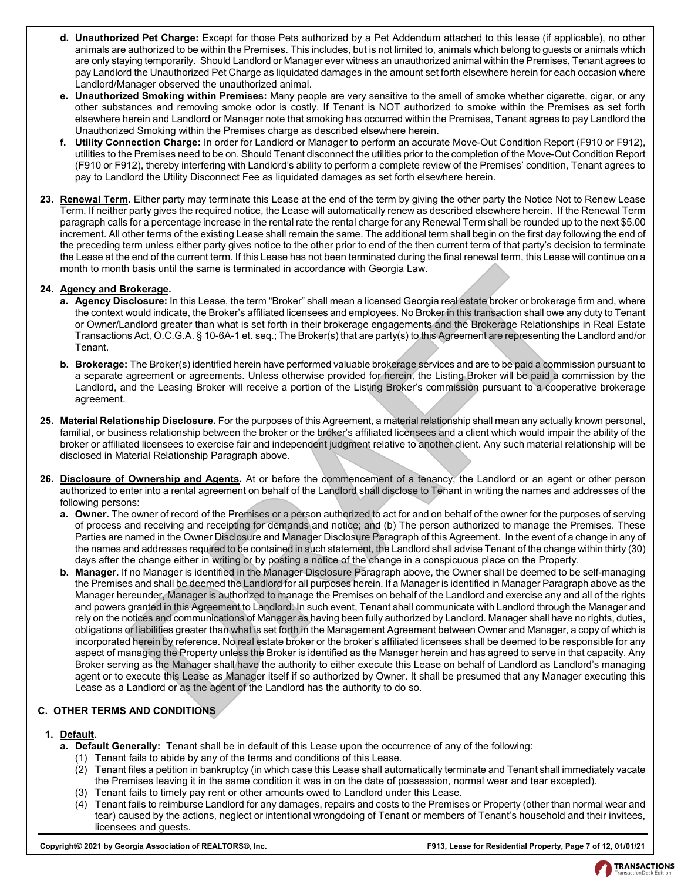- **d. Unauthorized Pet Charge:** Except for those Pets authorized by a Pet Addendum attached to this lease (if applicable), no other animals are authorized to be within the Premises. This includes, but is not limited to, animals which belong to guests or animals which are only staying temporarily. Should Landlord or Manager ever witness an unauthorized animal within the Premises, Tenant agrees to pay Landlord the Unauthorized Pet Charge as liquidated damages in the amount set forth elsewhere herein for each occasion where Landlord/Manager observed the unauthorized animal.
- **e. Unauthorized Smoking within Premises:** Many people are very sensitive to the smell of smoke whether cigarette, cigar, or any other substances and removing smoke odor is costly. If Tenant is NOT authorized to smoke within the Premises as set forth elsewhere herein and Landlord or Manager note that smoking has occurred within the Premises, Tenant agrees to pay Landlord the Unauthorized Smoking within the Premises charge as described elsewhere herein.
- **f. Utility Connection Charge:** In order for Landlord or Manager to perform an accurate Move-Out Condition Report (F910 or F912), utilities to the Premises need to be on. Should Tenant disconnect the utilities prior to the completion of the Move-Out Condition Report (F910 or F912), thereby interfering with Landlord's ability to perform a complete review of the Premises' condition, Tenant agrees to pay to Landlord the Utility Disconnect Fee as liquidated damages as set forth elsewhere herein.
- **23. Renewal Term.** Either party may terminate this Lease at the end of the term by giving the other party the Notice Not to Renew Lease Term. If neither party gives the required notice, the Lease will automatically renew as described elsewhere herein. If the Renewal Term paragraph calls for a percentage increase in the rental rate the rental charge for any Renewal Term shall be rounded up to the next \$5.00 increment. All other terms of the existing Lease shall remain the same. The additional term shall begin on the first day following the end of the preceding term unless either party gives notice to the other prior to end of the then current term of that party's decision to terminate the Lease at the end of the current term. If this Lease has not been terminated during the final renewal term, this Lease will continue on a month to month basis until the same is terminated in accordance with Georgia Law.

#### **24. Agency and Brokerage.**

- **a. Agency Disclosure:** In this Lease, the term "Broker" shall mean a licensed Georgia real estate broker or brokerage firm and, where the context would indicate, the Broker's affiliated licensees and employees. No Broker in this transaction shall owe any duty to Tenant or Owner/Landlord greater than what is set forth in their brokerage engagements and the Brokerage Relationships in Real Estate Transactions Act, O.C.G.A. § 10-6A-1 et. seq.; The Broker(s) that are party(s) to this Agreement are representing the Landlord and/or Tenant.
- **b. Brokerage:** The Broker(s) identified herein have performed valuable brokerage services and are to be paid a commission pursuant to a separate agreement or agreements. Unless otherwise provided for herein, the Listing Broker will be paid a commission by the Landlord, and the Leasing Broker will receive a portion of the Listing Broker's commission pursuant to a cooperative brokerage agreement.
- **25. Material Relationship Disclosure.** For the purposes of this Agreement, a material relationship shall mean any actually known personal, familial, or business relationship between the broker or the broker's affiliated licensees and a client which would impair the ability of the broker or affiliated licensees to exercise fair and independent judgment relative to another client. Any such material relationship will be disclosed in Material Relationship Paragraph above.
- **26. Disclosure of Ownership and Agents.** At or before the commencement of a tenancy, the Landlord or an agent or other person authorized to enter into a rental agreement on behalf of the Landlord shall disclose to Tenant in writing the names and addresses of the following persons:
	- **a. Owner.** The owner of record of the Premises or a person authorized to act for and on behalf of the owner for the purposes of serving of process and receiving and receipting for demands and notice; and (b) The person authorized to manage the Premises. These Parties are named in the Owner Disclosure and Manager Disclosure Paragraph of this Agreement. In the event of a change in any of the names and addresses required to be contained in such statement, the Landlord shall advise Tenant of the change within thirty (30) days after the change either in writing or by posting a notice of the change in a conspicuous place on the Property.
- **b. Manager.** If no Manager is identified in the Manager Disclosure Paragraph above, the Owner shall be deemed to be self-managing the Premises and shall be deemed the Landlord for all purposes herein. If a Manager is identified in Manager Paragraph above as the Manager hereunder, Manager is authorized to manage the Premises on behalf of the Landlord and exercise any and all of the rights and powers granted in this Agreement to Landlord. In such event, Tenant shall communicate with Landlord through the Manager and rely on the notices and communications of Manager as having been fully authorized by Landlord. Manager shall have no rights, duties, obligations or liabilities greater than what is set forth in the Management Agreement between Owner and Manager, a copy of which is incorporated herein by reference. No real estate broker or the broker's affiliated licensees shall be deemed to be responsible for any aspect of managing the Property unless the Broker is identified as the Manager herein and has agreed to serve in that capacity. Any Broker serving as the Manager shall have the authority to either execute this Lease on behalf of Landlord as Landlord's managing agent or to execute this Lease as Manager itself if so authorized by Owner. It shall be presumed that any Manager executing this Lease as a Landlord or as the agent of the Landlord has the authority to do so. **hrekarage**<br> **hrekarage**: In this Lease, the term "Broker" shall mean a licensed Georgia Law.<br> **Holosure:** In this Lease, the term "Broker" shall mean a licensed Georgia real estate broker or brokerage fectors. Heliosure:

## **C. OTHER TERMS AND CONDITIONS**

## **1. Default.**

- **a. Default Generally:** Tenant shall be in default of this Lease upon the occurrence of any of the following:
	- (1) Tenant fails to abide by any of the terms and conditions of this Lease.
	- (2) Tenant files a petition in bankruptcy (in which case this Lease shall automatically terminate and Tenant shall immediately vacate the Premises leaving it in the same condition it was in on the date of possession, normal wear and tear excepted).
	- (3) Tenant fails to timely pay rent or other amounts owed to Landlord under this Lease.
	- (4) Tenant fails to reimburse Landlord for any damages, repairs and costs to the Premises or Property (other than normal wear and tear) caused by the actions, neglect or intentional wrongdoing of Tenant or members of Tenant's household and their invitees, licensees and guests.

**Copyright© 2021 by Georgia Association of REALTORS®, Inc. F913, Lease for Residential Property, Page 7 of 12, 01/01/21**

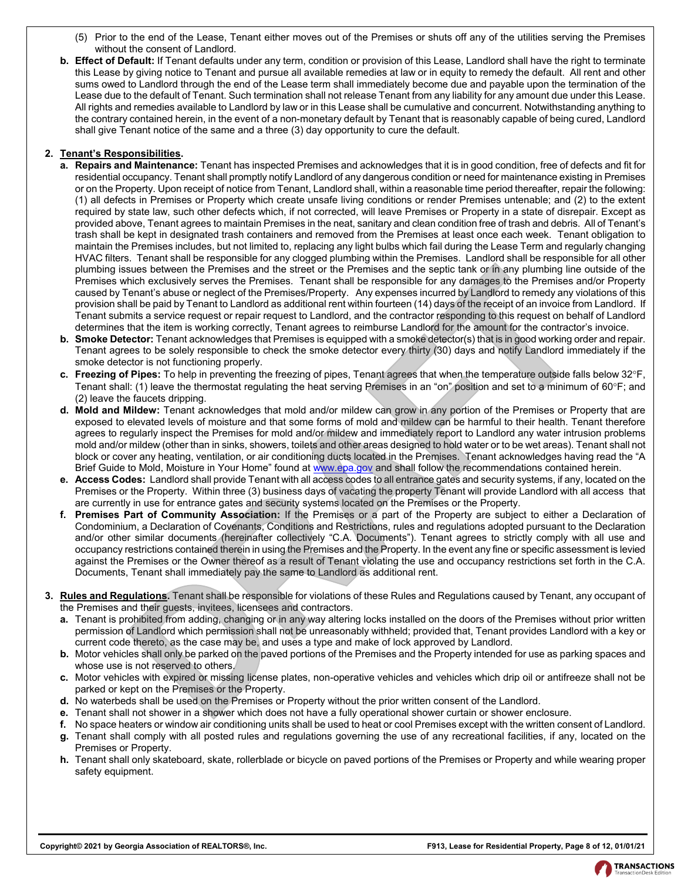- (5) Prior to the end of the Lease, Tenant either moves out of the Premises or shuts off any of the utilities serving the Premises without the consent of Landlord.
- **b. Effect of Default:** If Tenant defaults under any term, condition or provision of this Lease, Landlord shall have the right to terminate this Lease by giving notice to Tenant and pursue all available remedies at law or in equity to remedy the default. All rent and other sums owed to Landlord through the end of the Lease term shall immediately become due and payable upon the termination of the Lease due to the default of Tenant. Such termination shall not release Tenant from any liability for any amount due under this Lease. All rights and remedies available to Landlord by law or in this Lease shall be cumulative and concurrent. Notwithstanding anything to the contrary contained herein, in the event of a non-monetary default by Tenant that is reasonably capable of being cured, Landlord shall give Tenant notice of the same and a three (3) day opportunity to cure the default.

## **2. Tenant's Responsibilities.**

- **a. Repairs and Maintenance:** Tenant has inspected Premises and acknowledges that it is in good condition, free of defects and fit for residential occupancy. Tenant shall promptly notify Landlord of any dangerous condition or need for maintenance existing in Premises or on the Property. Upon receipt of notice from Tenant, Landlord shall, within a reasonable time period thereafter, repair the following: (1) all defects in Premises or Property which create unsafe living conditions or render Premises untenable; and (2) to the extent required by state law, such other defects which, if not corrected, will leave Premises or Property in a state of disrepair. Except as provided above, Tenant agrees to maintain Premises in the neat, sanitary and clean condition free of trash and debris. All of Tenant's trash shall be kept in designated trash containers and removed from the Premises at least once each week. Tenant obligation to maintain the Premises includes, but not limited to, replacing any light bulbs which fail during the Lease Term and regularly changing HVAC filters. Tenant shall be responsible for any clogged plumbing within the Premises. Landlord shall be responsible for all other plumbing issues between the Premises and the street or the Premises and the septic tank or in any plumbing line outside of the Premises which exclusively serves the Premises. Tenant shall be responsible for any damages to the Premises and/or Property caused by Tenant's abuse or neglect of the Premises/Property. Any expenses incurred by Landlord to remedy any violations of this provision shall be paid by Tenant to Landlord as additional rent within fourteen (14) days of the receipt of an invoice from Landlord. If Tenant submits a service request or repair request to Landlord, and the contractor responding to this request on behalf of Landlord determines that the item is working correctly, Tenant agrees to reimburse Landlord for the amount for the contractor's invoice. susse between the Premises and the street or the Premises and the septic tank or in any bumbin line<br>sinck between the Premises Tenant Shall be responsible for any damages to the Premises and<br>shall be columbly serves the Pr
- **b. Smoke Detector:** Tenant acknowledges that Premises is equipped with a smoke detector(s) that is in good working order and repair. Tenant agrees to be solely responsible to check the smoke detector every thirty (30) days and notify Landlord immediately if the smoke detector is not functioning properly.
- **c. Freezing of Pipes:** To help in preventing the freezing of pipes, Tenant agrees that when the temperature outside falls below 32F, Tenant shall: (1) leave the thermostat regulating the heat serving Premises in an "on" position and set to a minimum of 60°F; and (2) leave the faucets dripping.
- **d. Mold and Mildew:** Tenant acknowledges that mold and/or mildew can grow in any portion of the Premises or Property that are exposed to elevated levels of moisture and that some forms of mold and mildew can be harmful to their health. Tenant therefore agrees to regularly inspect the Premises for mold and/or mildew and immediately report to Landlord any water intrusion problems mold and/or mildew (other than in sinks, showers, toilets and other areas designed to hold water or to be wet areas). Tenant shall not block or cover any heating, ventilation, or air conditioning ducts located in the Premises. Tenant acknowledges having read the "A Brief Guide to Mold, Moisture in Your Home" found at www.epa.gov and shall follow the recommendations contained herein.
- **e. Access Codes:** Landlord shall provide Tenant with all access codes to all entrance gates and security systems, if any, located on the Premises or the Property. Within three (3) business days of vacating the property Tenant will provide Landlord with all access that are currently in use for entrance gates and security systems located on the Premises or the Property.
- **f. Premises Part of Community Association:** If the Premises or a part of the Property are subject to either a Declaration of Condominium, a Declaration of Covenants, Conditions and Restrictions, rules and regulations adopted pursuant to the Declaration and/or other similar documents (hereinafter collectively "C.A. Documents"). Tenant agrees to strictly comply with all use and occupancy restrictions contained therein in using the Premises and the Property. In the event any fine or specific assessment is levied against the Premises or the Owner thereof as a result of Tenant violating the use and occupancy restrictions set forth in the C.A. Documents, Tenant shall immediately pay the same to Landlord as additional rent.
- **3. Rules and Regulations.** Tenant shall be responsible for violations of these Rules and Regulations caused by Tenant, any occupant of the Premises and their guests, invitees, licensees and contractors.
	- **a.** Tenant is prohibited from adding, changing or in any way altering locks installed on the doors of the Premises without prior written permission of Landlord which permission shall not be unreasonably withheld; provided that, Tenant provides Landlord with a key or current code thereto, as the case may be, and uses a type and make of lock approved by Landlord.
	- **b.** Motor vehicles shall only be parked on the paved portions of the Premises and the Property intended for use as parking spaces and whose use is not reserved to others.
	- **c.** Motor vehicles with expired or missing license plates, non-operative vehicles and vehicles which drip oil or antifreeze shall not be parked or kept on the Premises or the Property.
	- **d.** No waterbeds shall be used on the Premises or Property without the prior written consent of the Landlord.
	- **e.** Tenant shall not shower in a shower which does not have a fully operational shower curtain or shower enclosure.
	- **f.** No space heaters or window air conditioning units shall be used to heat or cool Premises except with the written consent of Landlord.
	- **g.** Tenant shall comply with all posted rules and regulations governing the use of any recreational facilities, if any, located on the Premises or Property.
	- **h.** Tenant shall only skateboard, skate, rollerblade or bicycle on paved portions of the Premises or Property and while wearing proper safety equipment.

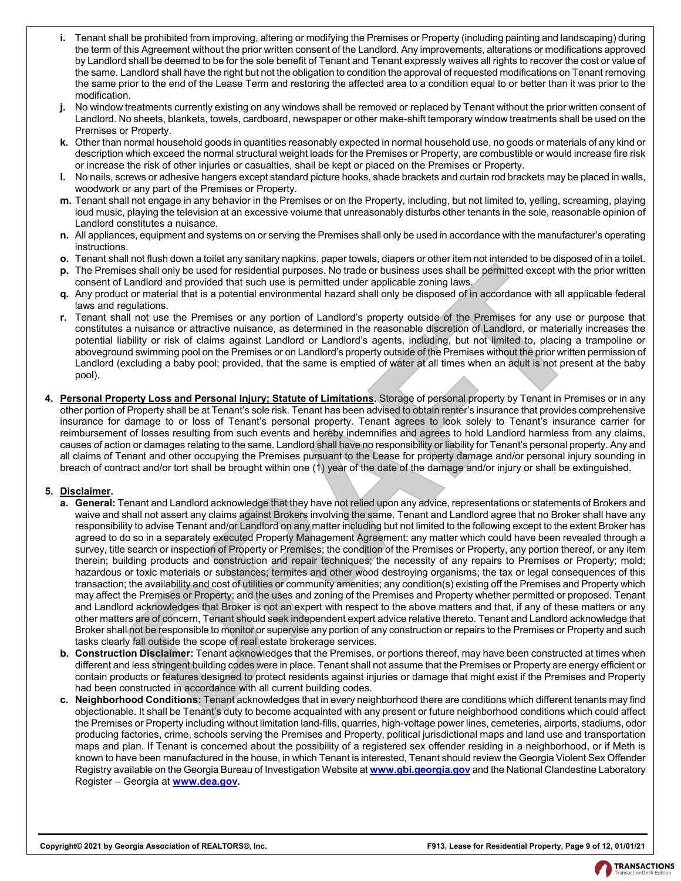- **i.** Tenant shall be prohibited from improving, altering or modifying the Premises or Property (including painting and landscaping) during the term of this Agreement without the prior written consent of the Landlord. Any improvements, alterations or modifications approved by Landlord shall be deemed to be for the sole benefit of Tenant and Tenant expressly waives all rights to recover the cost or value of the same. Landlord shall have the right but not the obligation to condition the approval of requested modifications on Tenant removing the same prior to the end of the Lease Term and restoring the affected area to a condition equal to or better than it was prior to the modification.
- **j.** No window treatments currently existing on any windows shall be removed or replaced by Tenant without the prior written consent of Landlord. No sheets, blankets, towels, cardboard, newspaper or other make-shift temporary window treatments shall be used on the Premises or Property.
- **k.** Other than normal household goods in quantities reasonably expected in normal household use, no goods or materials of any kind or description which exceed the normal structural weight loads for the Premises or Property, are combustible or would increase fire risk or increase the risk of other injuries or casualties, shall be kept or placed on the Premises or Property.
- **l.** No nails, screws or adhesive hangers except standard picture hooks, shade brackets and curtain rod brackets may be placed in walls, woodwork or any part of the Premises or Property.
- **m.** Tenant shall not engage in any behavior in the Premises or on the Property, including, but not limited to, yelling, screaming, playing loud music, playing the television at an excessive volume that unreasonably disturbs other tenants in the sole, reasonable opinion of Landlord constitutes a nuisance.
- **n.** All appliances, equipment and systems on or serving the Premises shall only be used in accordance with the manufacturer's operating instructions.
- **o.** Tenant shall not flush down a toilet any sanitary napkins, paper towels, diapers or other item not intended to be disposed of in a toilet.
- **p.** The Premises shall only be used for residential purposes. No trade or business uses shall be permitted except with the prior written consent of Landlord and provided that such use is permitted under applicable zoning laws.
- **q.** Any product or material that is a potential environmental hazard shall only be disposed of in accordance with all applicable federal laws and regulations.
- **r.** Tenant shall not use the Premises or any portion of Landlord's property outside of the Premises for any use or purpose that constitutes a nuisance or attractive nuisance, as determined in the reasonable discretion of Landlord, or materially increases the potential liability or risk of claims against Landlord or Landlord's agents, including, but not limited to, placing a trampoline or aboveground swimming pool on the Premises or on Landlord's property outside of the Premises without the prior written permission of Landlord (excluding a baby pool; provided, that the same is emptied of water at all times when an adult is not present at the baby pool).
- **4. Personal Property Loss and Personal Injury; Statute of Limitations.** Storage of personal property by Tenant in Premises or in any other portion of Property shall be at Tenant's sole risk. Tenant has been advised to obtain renter's insurance that provides comprehensive insurance for damage to or loss of Tenant's personal property. Tenant agrees to look solely to Tenant's insurance carrier for reimbursement of losses resulting from such events and hereby indemnifies and agrees to hold Landlord harmless from any claims, causes of action or damages relating to the same. Landlord shall have no responsibility or liability for Tenant's personal property. Any and all claims of Tenant and other occupying the Premises pursuant to the Lease for property damage and/or personal injury sounding in breach of contract and/or tort shall be brought within one (1) year of the date of the damage and/or injury or shall be extinguished.

## **5. Disclaimer.**

- **a. General:** Tenant and Landlord acknowledge that they have not relied upon any advice, representations or statements of Brokers and waive and shall not assert any claims against Brokers involving the same. Tenant and Landlord agree that no Broker shall have any responsibility to advise Tenant and/or Landlord on any matter including but not limited to the following except to the extent Broker has agreed to do so in a separately executed Property Management Agreement: any matter which could have been revealed through a survey, title search or inspection of Property or Premises; the condition of the Premises or Property, any portion thereof, or any item therein; building products and construction and repair techniques; the necessity of any repairs to Premises or Property; mold; hazardous or toxic materials or substances; termites and other wood destroying organisms; the tax or legal consequences of this transaction; the availability and cost of utilities or community amenities; any condition(s) existing off the Premises and Property which may affect the Premises or Property; and the uses and zoning of the Premises and Property whether permitted or proposed. Tenant and Landlord acknowledges that Broker is not an expert with respect to the above matters and that, if any of these matters or any other matters are of concern, Tenant should seek independent expert advice relative thereto. Tenant and Landlord acknowledge that Broker shall not be responsible to monitor or supervise any portion of any construction or repairs to the Premises or Property and such tasks clearly fall outside the scope of real estate brokerage services. no. Analy to the the termines are the terminal property. The three contents in the formulation of the second of the second of the second of the second of the second of the second of the second of the second of the second o
- **b. Construction Disclaimer:** Tenant acknowledges that the Premises, or portions thereof, may have been constructed at times when different and less stringent building codes were in place. Tenant shall not assume that the Premises or Property are energy efficient or contain products or features designed to protect residents against injuries or damage that might exist if the Premises and Property had been constructed in accordance with all current building codes.
- **c. Neighborhood Conditions:** Tenant acknowledges that in every neighborhood there are conditions which different tenants may find objectionable. It shall be Tenant's duty to become acquainted with any present or future neighborhood conditions which could affect the Premises or Property including without limitation land-fills, quarries, high-voltage power lines, cemeteries, airports, stadiums, odor producing factories, crime, schools serving the Premises and Property, political jurisdictional maps and land use and transportation maps and plan. If Tenant is concerned about the possibility of a registered sex offender residing in a neighborhood, or if Meth is known to have been manufactured in the house, in which Tenant is interested, Tenant should review the Georgia Violent Sex Offender Registry available on the Georgia Bureau of Investigation Website at **[www.gbi.georgia.gov](http://www.gbi.georgia.gov/)** and the National Clandestine Laboratory Register – Georgia at **[www.dea.gov](http://www.dea.gov/) .**

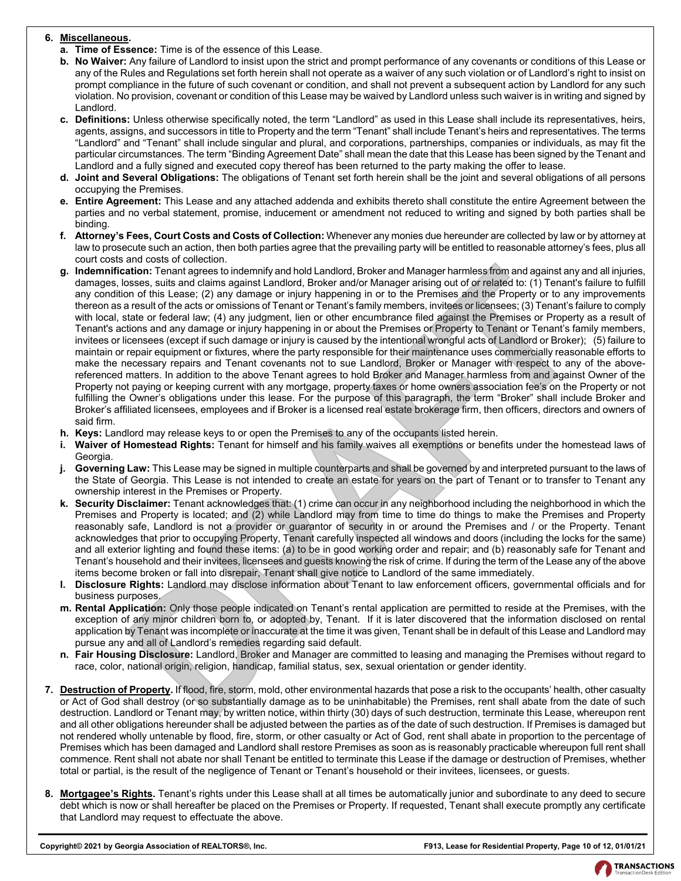## **6. Miscellaneous.**

- **a. Time of Essence:** Time is of the essence of this Lease.
- **b. No Waiver:** Any failure of Landlord to insist upon the strict and prompt performance of any covenants or conditions of this Lease or any of the Rules and Regulations set forth herein shall not operate as a waiver of any such violation or of Landlord's right to insist on prompt compliance in the future of such covenant or condition, and shall not prevent a subsequent action by Landlord for any such violation. No provision, covenant or condition of this Lease may be waived by Landlord unless such waiver is in writing and signed by Landlord.
- **c. Definitions:** Unless otherwise specifically noted, the term "Landlord" as used in this Lease shall include its representatives, heirs, agents, assigns, and successors in title to Property and the term "Tenant" shall include Tenant's heirs and representatives. The terms "Landlord" and "Tenant" shall include singular and plural, and corporations, partnerships, companies or individuals, as may fit the particular circumstances. The term "Binding Agreement Date" shall mean the date that this Lease has been signed by the Tenant and Landlord and a fully signed and executed copy thereof has been returned to the party making the offer to lease.
- **d. Joint and Several Obligations:** The obligations of Tenant set forth herein shall be the joint and several obligations of all persons occupying the Premises.
- **e. Entire Agreement:** This Lease and any attached addenda and exhibits thereto shall constitute the entire Agreement between the parties and no verbal statement, promise, inducement or amendment not reduced to writing and signed by both parties shall be binding.
- **f. Attorney's Fees, Court Costs and Costs of Collection:** Whenever any monies due hereunder are collected by law or by attorney at law to prosecute such an action, then both parties agree that the prevailing party will be entitled to reasonable attorney's fees, plus all court costs and costs of collection.
- **g. Indemnification:** Tenant agrees to indemnify and hold Landlord, Broker and Manager harmless from and against any and all injuries, damages, losses, suits and claims against Landlord, Broker and/or Manager arising out of or related to: (1) Tenant's failure to fulfill any condition of this Lease; (2) any damage or injury happening in or to the Premises and the Property or to any improvements thereon as a result of the acts or omissions of Tenant or Tenant's family members, invitees or licensees; (3) Tenant's failure to comply with local, state or federal law; (4) any judgment, lien or other encumbrance filed against the Premises or Property as a result of Tenant's actions and any damage or injury happening in or about the Premises or Property to Tenant or Tenant's family members, invitees or licensees (except if such damage or injury is caused by the intentional wrongful acts of Landlord or Broker); (5) failure to maintain or repair equipment or fixtures, where the party responsible for their maintenance uses commercially reasonable efforts to make the necessary repairs and Tenant covenants not to sue Landlord, Broker or Manager with respect to any of the abovereferenced matters. In addition to the above Tenant agrees to hold Broker and Manager harmless from and against Owner of the Property not paying or keeping current with any mortgage, property taxes or home owners association fee's on the Property or not fulfilling the Owner's obligations under this lease. For the purpose of this paragraph, the term "Broker" shall include Broker and Broker's affiliated licensees, employees and if Broker is a licensed real estate brokerage firm, then officers, directors and owners of said firm. and uses of tusher of demand and had Landlerd. Broker and Manager harmless from and against any<br>action. Tenant agrees is independented and Manager terms and against any<br>species, such and claims against Landlerd, Broker and
- **h. Keys:** Landlord may release keys to or open the Premises to any of the occupants listed herein.
- **i. Waiver of Homestead Rights:** Tenant for himself and his family waives all exemptions or benefits under the homestead laws of Georgia.
- **j. Governing Law:** This Lease may be signed in multiple counterparts and shall be governed by and interpreted pursuant to the laws of the State of Georgia. This Lease is not intended to create an estate for years on the part of Tenant or to transfer to Tenant any ownership interest in the Premises or Property.
- **k. Security Disclaimer:** Tenant acknowledges that: (1) crime can occur in any neighborhood including the neighborhood in which the Premises and Property is located; and (2) while Landlord may from time to time do things to make the Premises and Property reasonably safe, Landlord is not a provider or guarantor of security in or around the Premises and / or the Property. Tenant acknowledges that prior to occupying Property, Tenant carefully inspected all windows and doors (including the locks for the same) and all exterior lighting and found these items: (a) to be in good working order and repair; and (b) reasonably safe for Tenant and Tenant's household and their invitees, licensees and guests knowing the risk of crime. If during the term of the Lease any of the above items become broken or fall into disrepair, Tenant shall give notice to Landlord of the same immediately.
- **l. Disclosure Rights:** Landlord may disclose information about Tenant to law enforcement officers, governmental officials and for business purposes.
- **m. Rental Application:** Only those people indicated on Tenant's rental application are permitted to reside at the Premises, with the exception of any minor children born to, or adopted by, Tenant. If it is later discovered that the information disclosed on rental application by Tenant was incomplete or inaccurate at the time it was given, Tenant shall be in default of this Lease and Landlord may pursue any and all of Landlord's remedies regarding said default.
- **n. Fair Housing Disclosure:** Landlord, Broker and Manager are committed to leasing and managing the Premises without regard to race, color, national origin, religion, handicap, familial status, sex, sexual orientation or gender identity.
- **7. Destruction of Property.** If flood, fire, storm, mold, other environmental hazards that pose a risk to the occupants' health, other casualty or Act of God shall destroy (or so substantially damage as to be uninhabitable) the Premises, rent shall abate from the date of such destruction. Landlord or Tenant may, by written notice, within thirty (30) days of such destruction, terminate this Lease, whereupon rent and all other obligations hereunder shall be adjusted between the parties as of the date of such destruction. If Premises is damaged but not rendered wholly untenable by flood, fire, storm, or other casualty or Act of God, rent shall abate in proportion to the percentage of Premises which has been damaged and Landlord shall restore Premises as soon as is reasonably practicable whereupon full rent shall commence. Rent shall not abate nor shall Tenant be entitled to terminate this Lease if the damage or destruction of Premises, whether total or partial, is the result of the negligence of Tenant or Tenant's household or their invitees, licensees, or guests.
- **8. Mortgagee's Rights.** Tenant's rights under this Lease shall at all times be automatically junior and subordinate to any deed to secure debt which is now or shall hereafter be placed on the Premises or Property. If requested, Tenant shall execute promptly any certificate that Landlord may request to effectuate the above.

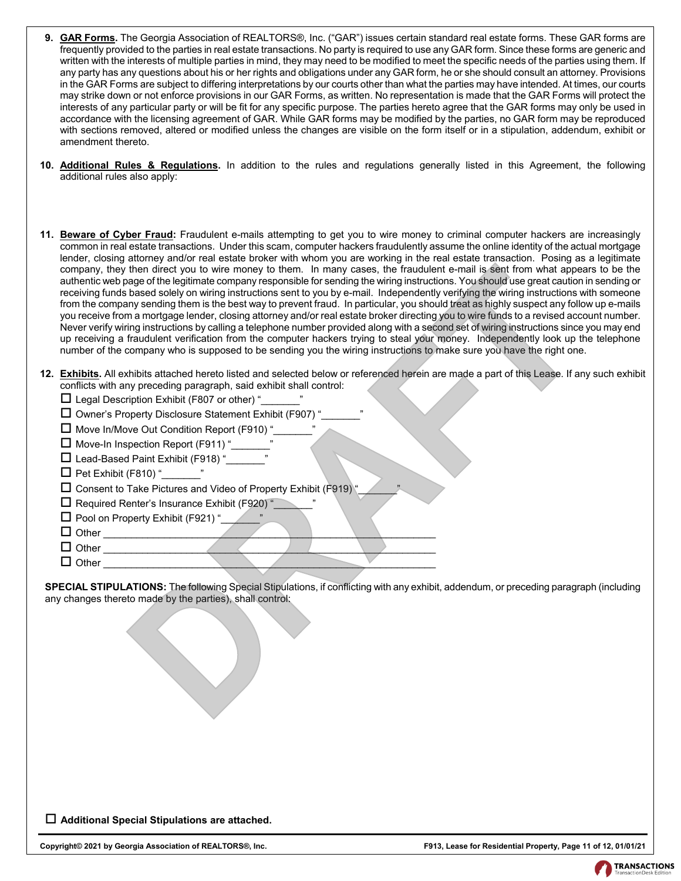- **9. GAR Forms.** The Georgia Association of REALTORS®, Inc. ("GAR") issues certain standard real estate forms. These GAR forms are frequently provided to the parties in real estate transactions. No party is required to use any GAR form. Since these forms are generic and written with the interests of multiple parties in mind, they may need to be modified to meet the specific needs of the parties using them. If any party has any questions about his or her rights and obligations under any GAR form, he or she should consult an attorney. Provisions in the GAR Forms are subject to differing interpretations by our courts other than what the parties may have intended. At times, our courts may strike down or not enforce provisions in our GAR Forms, as written. No representation is made that the GAR Forms will protect the interests of any particular party or will be fit for any specific purpose. The parties hereto agree that the GAR forms may only be used in accordance with the licensing agreement of GAR. While GAR forms may be modified by the parties, no GAR form may be reproduced with sections removed, altered or modified unless the changes are visible on the form itself or in a stipulation, addendum, exhibit or amendment thereto.
- **10. Additional Rules & Regulations.** In addition to the rules and regulations generally listed in this Agreement, the following additional rules also apply:
- **11. Beware of Cyber Fraud:** Fraudulent e-mails attempting to get you to wire money to criminal computer hackers are increasingly common in real estate transactions. Under this scam, computer hackers fraudulently assume the online identity of the actual mortgage lender, closing attorney and/or real estate broker with whom you are working in the real estate transaction. Posing as a legitimate company, they then direct you to wire money to them. In many cases, the fraudulent e-mail is sent from what appears to be the authentic web page of the legitimate company responsible for sending the wiring instructions. You should use great caution in sending or receiving funds based solely on wiring instructions sent to you by e-mail. Independently verifying the wiring instructions with someone from the company sending them is the best way to prevent fraud. In particular, you should treat as highly suspect any follow up e-mails you receive from a mortgage lender, closing attorney and/or real estate broker directing you to wire funds to a revised account number. Never verify wiring instructions by calling a telephone number provided along with a second set of wiring instructions since you may end up receiving a fraudulent verification from the computer hackers trying to steal your money. Independently look up the telephone number of the company who is supposed to be sending you the wiring instructions to make sure you have the right one. then direct you to wire money to them. In many cases, the franculation entail seart for the money of the control to the money to the money to the money to the money to the control the state of the control of the control of
- **12. Exhibits.** All exhibits attached hereto listed and selected below or referenced herein are made a part of this Lease. If any such exhibit conflicts with any preceding paragraph, said exhibit shall control:
	- $\Box$  Legal Description Exhibit (F807 or other) "
	- $\Box$  Owner's Property Disclosure Statement Exhibit (F907) "
	- $\Box$  Move In/Move Out Condition Report (F910) "
	- □ Move-In Inspection Report (F911) "
	- $\Box$  Lead-Based Paint Exhibit (F918) "
	- $\Box$  Pet Exhibit (F810) "
	- $\square$  Consent to Take Pictures and Video of Property Exhibit (F919) "
	- $\Box$  Required Renter's Insurance Exhibit (F920) "
	- $\Box$  Pool on Property Exhibit (F921) "
	- $\Box$  Other
	- $\Box$  Other
	- $\Box$  Other

**SPECIAL STIPULATIONS:** The following Special Stipulations, if conflicting with any exhibit, addendum, or preceding paragraph (including any changes thereto made by the parties), shall control:

**Additional Special Stipulations are attached.**